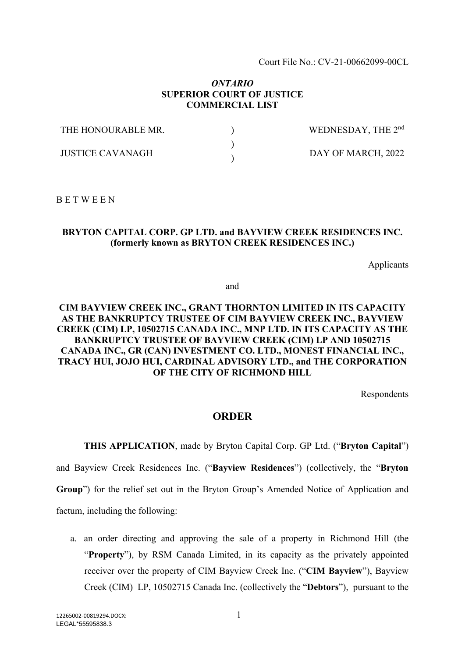Court File No.: CV-21-00662099-00CL

### *ONTARIO* **SUPERIOR COURT OF JUSTICE COMMERCIAL LIST**

| THE HONOURABLE MR.      | WEDNESDAY, THE 2 <sup>nd</sup> |
|-------------------------|--------------------------------|
| <b>IUSTICE CAVANAGH</b> | DAY OF MARCH, 2022             |

B E T W E E N

#### **BRYTON CAPITAL CORP. GP LTD. and BAYVIEW CREEK RESIDENCES INC. (formerly known as BRYTON CREEK RESIDENCES INC.)**

Applicants

and

## **CIM BAYVIEW CREEK INC., GRANT THORNTON LIMITED IN ITS CAPACITY AS THE BANKRUPTCY TRUSTEE OF CIM BAYVIEW CREEK INC., BAYVIEW CREEK (CIM) LP, 10502715 CANADA INC., MNP LTD. IN ITS CAPACITY AS THE BANKRUPTCY TRUSTEE OF BAYVIEW CREEK (CIM) LP AND 10502715 CANADA INC., GR (CAN) INVESTMENT CO. LTD., MONEST FINANCIAL INC., TRACY HUI, JOJO HUI, CARDINAL ADVISORY LTD., and THE CORPORATION OF THE CITY OF RICHMOND HILL**

Respondents

## **ORDER**

**THIS APPLICATION**, made by Bryton Capital Corp. GP Ltd. ("**Bryton Capital**") and Bayview Creek Residences Inc. ("**Bayview Residences**") (collectively, the "**Bryton Group**") for the relief set out in the Bryton Group's Amended Notice of Application and factum, including the following:

a. an order directing and approving the sale of a property in Richmond Hill (the "**Property**"), by RSM Canada Limited, in its capacity as the privately appointed receiver over the property of CIM Bayview Creek Inc. ("**CIM Bayview**"), Bayview Creek (CIM) LP, 10502715 Canada Inc. (collectively the "**Debtors**"), pursuant to the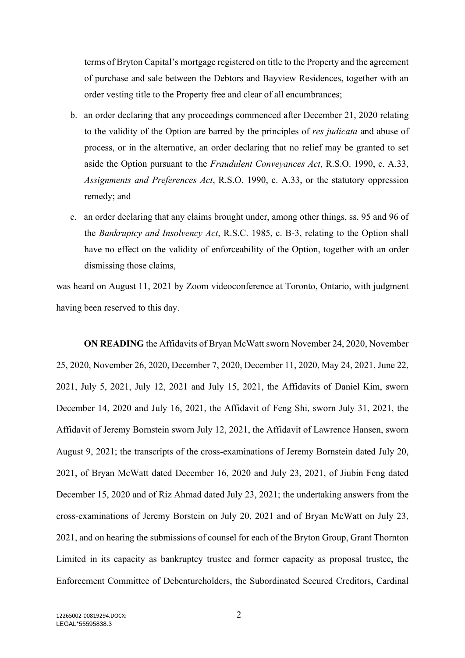terms of Bryton Capital's mortgage registered on title to the Property and the agreement of purchase and sale between the Debtors and Bayview Residences, together with an order vesting title to the Property free and clear of all encumbrances;

- b. an order declaring that any proceedings commenced after December 21, 2020 relating to the validity of the Option are barred by the principles of *res judicata* and abuse of process, or in the alternative, an order declaring that no relief may be granted to set aside the Option pursuant to the *Fraudulent Conveyances Act*, R.S.O. 1990, c. A.33, *Assignments and Preferences Act*, R.S.O. 1990, c. A.33, or the statutory oppression remedy; and
- c. an order declaring that any claims brought under, among other things, ss. 95 and 96 of the *Bankruptcy and Insolvency Act*, R.S.C. 1985, c. B-3, relating to the Option shall have no effect on the validity of enforceability of the Option, together with an order dismissing those claims,

was heard on August 11, 2021 by Zoom videoconference at Toronto, Ontario, with judgment having been reserved to this day.

**ON READING** the Affidavits of Bryan McWatt sworn November 24, 2020, November 25, 2020, November 26, 2020, December 7, 2020, December 11, 2020, May 24, 2021, June 22, 2021, July 5, 2021, July 12, 2021 and July 15, 2021, the Affidavits of Daniel Kim, sworn December 14, 2020 and July 16, 2021, the Affidavit of Feng Shi, sworn July 31, 2021, the Affidavit of Jeremy Bornstein sworn July 12, 2021, the Affidavit of Lawrence Hansen, sworn August 9, 2021; the transcripts of the cross-examinations of Jeremy Bornstein dated July 20, 2021, of Bryan McWatt dated December 16, 2020 and July 23, 2021, of Jiubin Feng dated December 15, 2020 and of Riz Ahmad dated July 23, 2021; the undertaking answers from the cross-examinations of Jeremy Borstein on July 20, 2021 and of Bryan McWatt on July 23, 2021, and on hearing the submissions of counsel for each of the Bryton Group, Grant Thornton Limited in its capacity as bankruptcy trustee and former capacity as proposal trustee, the Enforcement Committee of Debentureholders, the Subordinated Secured Creditors, Cardinal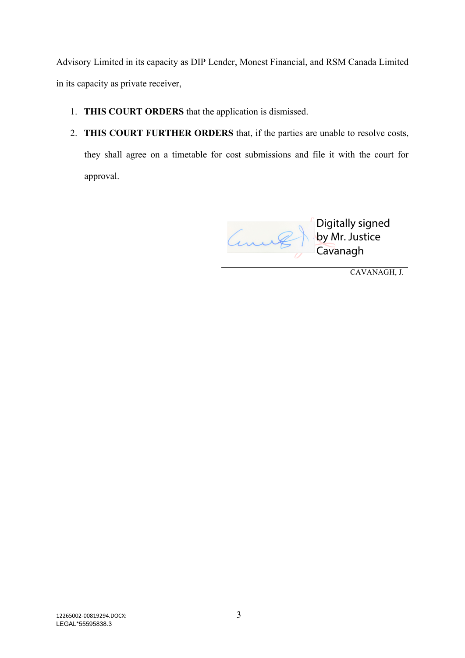Advisory Limited in its capacity as DIP Lender, Monest Financial, and RSM Canada Limited in its capacity as private receiver,

- 1. **THIS COURT ORDERS** that the application is dismissed.
- 2. **THIS COURT FURTHER ORDERS** that, if the parties are unable to resolve costs, they shall agree on a timetable for cost submissions and file it with the court for approval.

Digitally signed Connel by Mr. Justice Cavanagh

CAVANAGH, J.